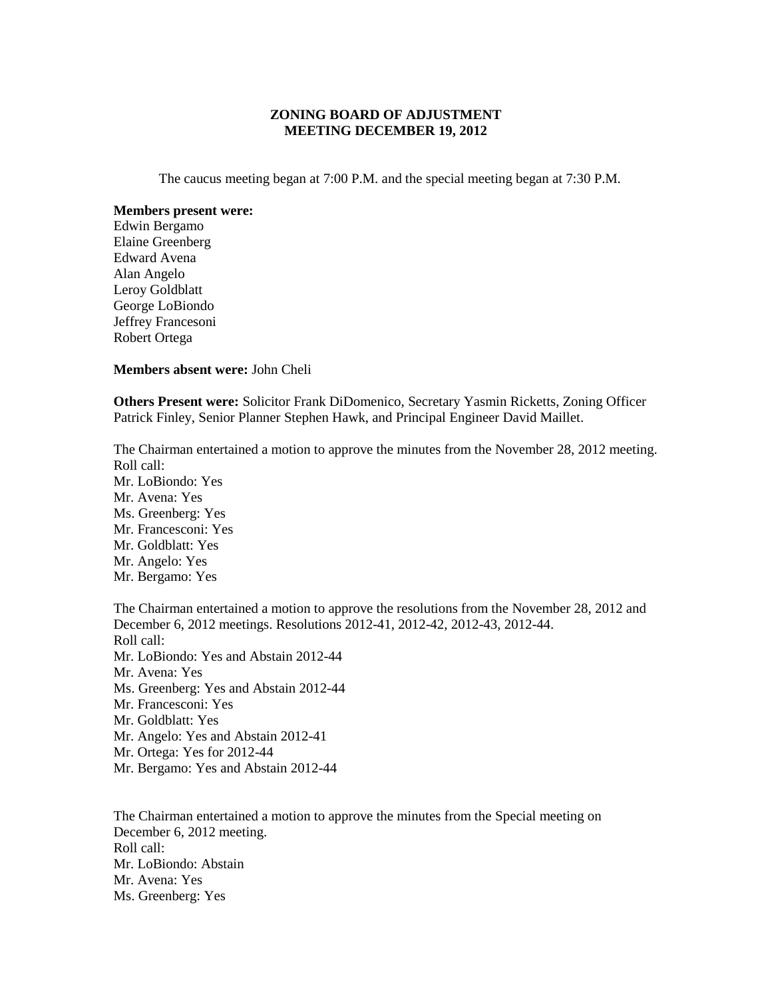## **ZONING BOARD OF ADJUSTMENT MEETING DECEMBER 19, 2012**

The caucus meeting began at 7:00 P.M. and the special meeting began at 7:30 P.M.

## **Members present were:**

Edwin Bergamo Elaine Greenberg Edward Avena Alan Angelo Leroy Goldblatt George LoBiondo Jeffrey Francesoni Robert Ortega

## **Members absent were:** John Cheli

**Others Present were:** Solicitor Frank DiDomenico, Secretary Yasmin Ricketts, Zoning Officer Patrick Finley, Senior Planner Stephen Hawk, and Principal Engineer David Maillet.

The Chairman entertained a motion to approve the minutes from the November 28, 2012 meeting. Roll call: Mr. LoBiondo: Yes Mr. Avena: Yes Ms. Greenberg: Yes Mr. Francesconi: Yes Mr. Goldblatt: Yes Mr. Angelo: Yes Mr. Bergamo: Yes The Chairman entertained a motion to approve the resolutions from the November 28, 2012 and December 6, 2012 meetings. Resolutions 2012-41, 2012-42, 2012-43, 2012-44. Roll call: Mr. LoBiondo: Yes and Abstain 2012-44 Mr. Avena: Yes Ms. Greenberg: Yes and Abstain 2012-44 Mr. Francesconi: Yes Mr. Goldblatt: Yes Mr. Angelo: Yes and Abstain 2012-41

Mr. Ortega: Yes for 2012-44

Mr. Bergamo: Yes and Abstain 2012-44

The Chairman entertained a motion to approve the minutes from the Special meeting on December 6, 2012 meeting. Roll call: Mr. LoBiondo: Abstain Mr. Avena: Yes Ms. Greenberg: Yes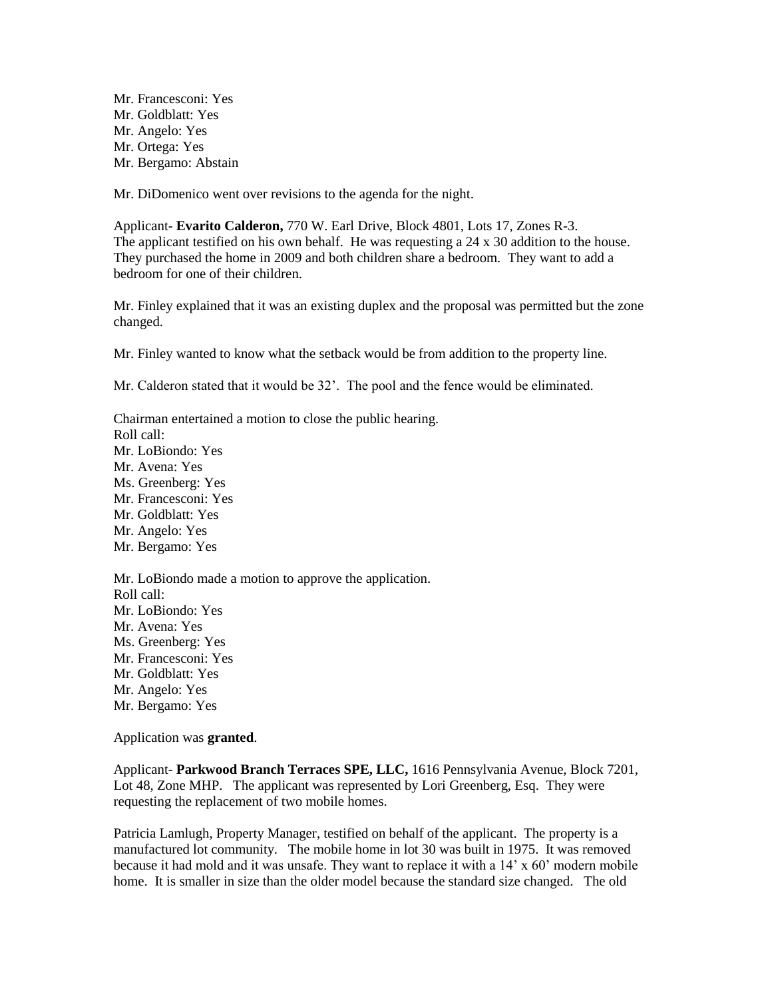Mr. Francesconi: Yes Mr. Goldblatt: Yes Mr. Angelo: Yes Mr. Ortega: Yes Mr. Bergamo: Abstain

Mr. DiDomenico went over revisions to the agenda for the night.

Applicant- **Evarito Calderon,** 770 W. Earl Drive, Block 4801, Lots 17, Zones R-3. The applicant testified on his own behalf. He was requesting a 24 x 30 addition to the house. They purchased the home in 2009 and both children share a bedroom. They want to add a bedroom for one of their children.

Mr. Finley explained that it was an existing duplex and the proposal was permitted but the zone changed.

Mr. Finley wanted to know what the setback would be from addition to the property line.

Mr. Calderon stated that it would be 32'. The pool and the fence would be eliminated.

Chairman entertained a motion to close the public hearing. Roll call: Mr. LoBiondo: Yes Mr. Avena: Yes Ms. Greenberg: Yes Mr. Francesconi: Yes Mr. Goldblatt: Yes Mr. Angelo: Yes Mr. Bergamo: Yes Mr. LoBiondo made a motion to approve the application. Roll call: Mr. LoBiondo: Yes Mr. Avena: Yes Ms. Greenberg: Yes Mr. Francesconi: Yes

Mr. Goldblatt: Yes

Mr. Angelo: Yes

Mr. Bergamo: Yes

Application was **granted**.

Applicant- **Parkwood Branch Terraces SPE, LLC,** 1616 Pennsylvania Avenue, Block 7201, Lot 48, Zone MHP. The applicant was represented by Lori Greenberg, Esq. They were requesting the replacement of two mobile homes.

Patricia Lamlugh, Property Manager, testified on behalf of the applicant. The property is a manufactured lot community. The mobile home in lot 30 was built in 1975. It was removed because it had mold and it was unsafe. They want to replace it with a 14' x 60' modern mobile home. It is smaller in size than the older model because the standard size changed. The old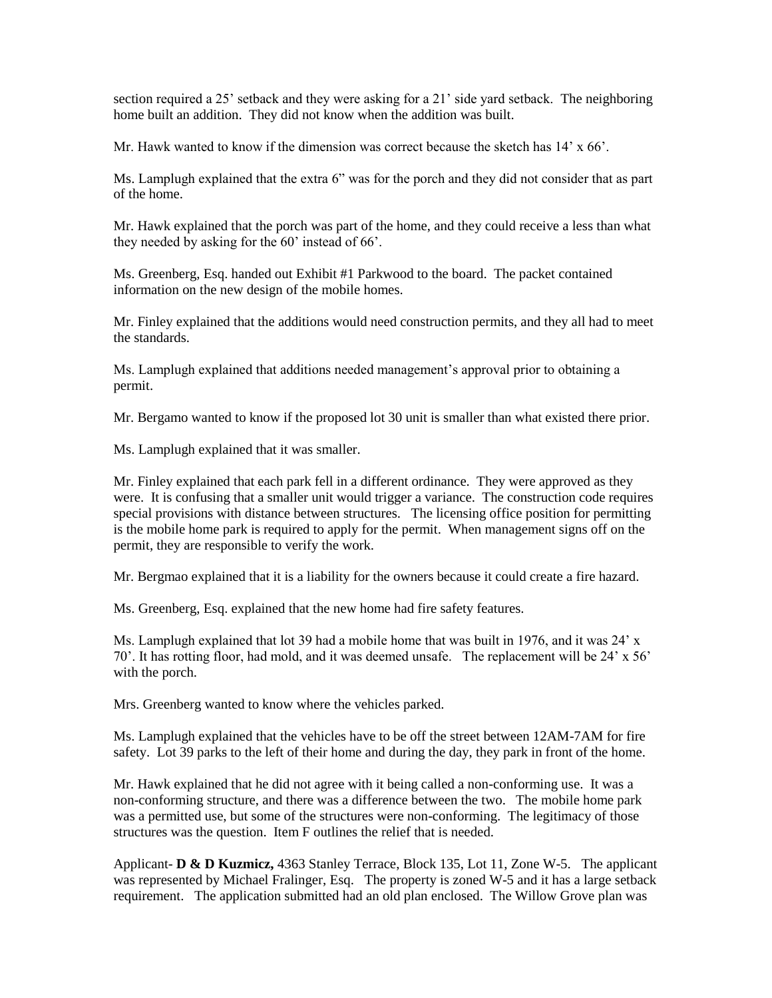section required a 25' setback and they were asking for a 21' side yard setback. The neighboring home built an addition. They did not know when the addition was built.

Mr. Hawk wanted to know if the dimension was correct because the sketch has  $14' \times 66'$ .

Ms. Lamplugh explained that the extra 6" was for the porch and they did not consider that as part of the home.

Mr. Hawk explained that the porch was part of the home, and they could receive a less than what they needed by asking for the 60' instead of 66'.

Ms. Greenberg, Esq. handed out Exhibit #1 Parkwood to the board. The packet contained information on the new design of the mobile homes.

Mr. Finley explained that the additions would need construction permits, and they all had to meet the standards.

Ms. Lamplugh explained that additions needed management's approval prior to obtaining a permit.

Mr. Bergamo wanted to know if the proposed lot 30 unit is smaller than what existed there prior.

Ms. Lamplugh explained that it was smaller.

Mr. Finley explained that each park fell in a different ordinance. They were approved as they were. It is confusing that a smaller unit would trigger a variance. The construction code requires special provisions with distance between structures. The licensing office position for permitting is the mobile home park is required to apply for the permit. When management signs off on the permit, they are responsible to verify the work.

Mr. Bergmao explained that it is a liability for the owners because it could create a fire hazard.

Ms. Greenberg, Esq. explained that the new home had fire safety features.

Ms. Lamplugh explained that lot 39 had a mobile home that was built in 1976, and it was  $24' x$ 70'. It has rotting floor, had mold, and it was deemed unsafe. The replacement will be 24' x 56' with the porch.

Mrs. Greenberg wanted to know where the vehicles parked.

Ms. Lamplugh explained that the vehicles have to be off the street between 12AM-7AM for fire safety. Lot 39 parks to the left of their home and during the day, they park in front of the home.

Mr. Hawk explained that he did not agree with it being called a non-conforming use. It was a non-conforming structure, and there was a difference between the two. The mobile home park was a permitted use, but some of the structures were non-conforming. The legitimacy of those structures was the question. Item F outlines the relief that is needed.

Applicant- **D & D Kuzmicz,** 4363 Stanley Terrace, Block 135, Lot 11, Zone W-5. The applicant was represented by Michael Fralinger, Esq. The property is zoned W-5 and it has a large setback requirement. The application submitted had an old plan enclosed. The Willow Grove plan was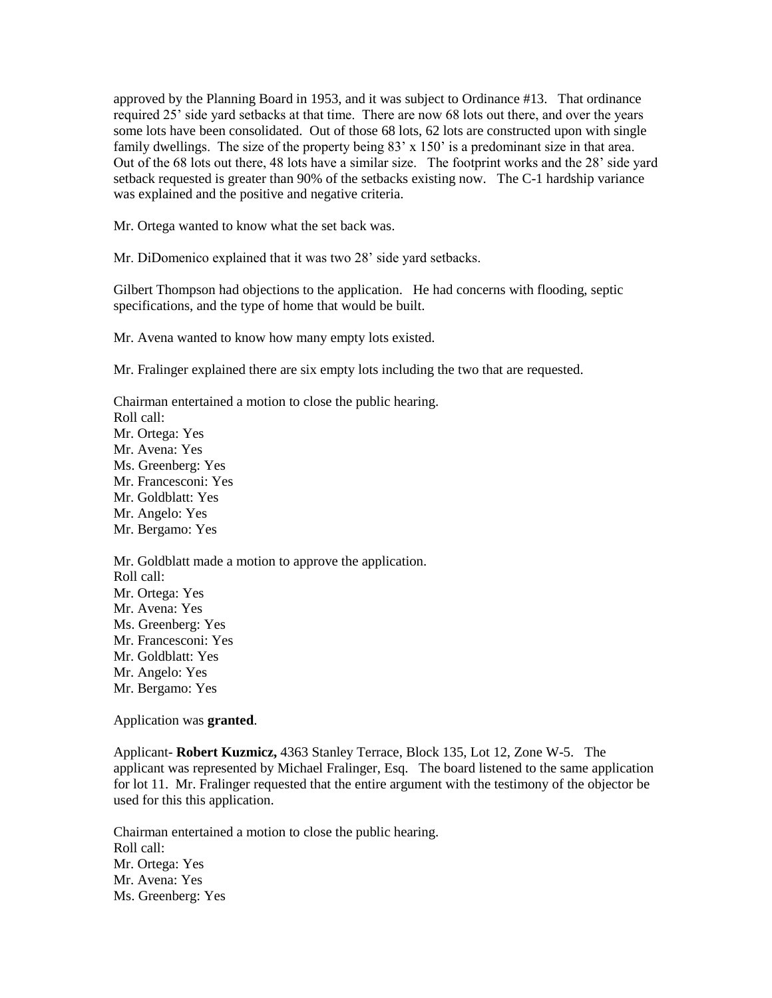approved by the Planning Board in 1953, and it was subject to Ordinance #13. That ordinance required 25' side yard setbacks at that time. There are now 68 lots out there, and over the years some lots have been consolidated. Out of those 68 lots, 62 lots are constructed upon with single family dwellings. The size of the property being 83' x 150' is a predominant size in that area. Out of the 68 lots out there, 48 lots have a similar size. The footprint works and the 28' side yard setback requested is greater than 90% of the setbacks existing now. The C-1 hardship variance was explained and the positive and negative criteria.

Mr. Ortega wanted to know what the set back was.

Mr. DiDomenico explained that it was two 28' side yard setbacks.

Gilbert Thompson had objections to the application. He had concerns with flooding, septic specifications, and the type of home that would be built.

Mr. Avena wanted to know how many empty lots existed.

Mr. Fralinger explained there are six empty lots including the two that are requested.

Chairman entertained a motion to close the public hearing. Roll call: Mr. Ortega: Yes Mr. Avena: Yes Ms. Greenberg: Yes Mr. Francesconi: Yes Mr. Goldblatt: Yes Mr. Angelo: Yes Mr. Bergamo: Yes Mr. Goldblatt made a motion to approve the application. Roll call: Mr. Ortega: Yes Mr. Avena: Yes Ms. Greenberg: Yes Mr. Francesconi: Yes Mr. Goldblatt: Yes Mr. Angelo: Yes

Mr. Bergamo: Yes

Application was **granted**.

Applicant- **Robert Kuzmicz,** 4363 Stanley Terrace, Block 135, Lot 12, Zone W-5. The applicant was represented by Michael Fralinger, Esq. The board listened to the same application for lot 11. Mr. Fralinger requested that the entire argument with the testimony of the objector be used for this this application.

Chairman entertained a motion to close the public hearing. Roll call: Mr. Ortega: Yes Mr. Avena: Yes Ms. Greenberg: Yes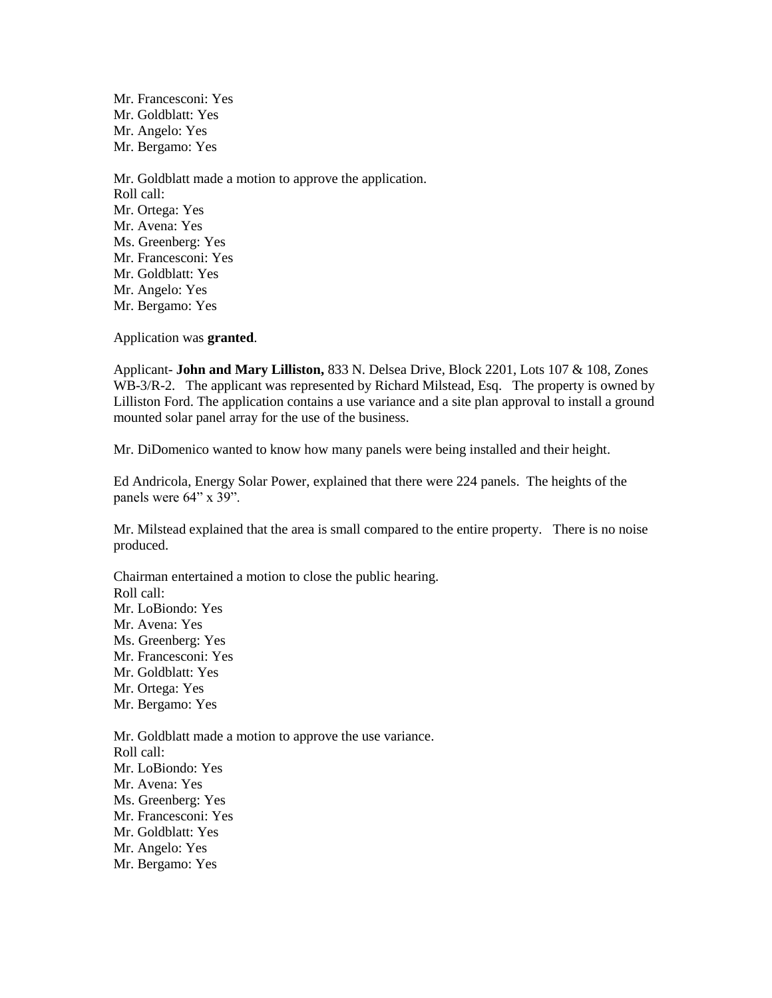Mr. Francesconi: Yes Mr. Goldblatt: Yes Mr. Angelo: Yes Mr. Bergamo: Yes

Mr. Goldblatt made a motion to approve the application. Roll call: Mr. Ortega: Yes Mr. Avena: Yes Ms. Greenberg: Yes Mr. Francesconi: Yes Mr. Goldblatt: Yes Mr. Angelo: Yes Mr. Bergamo: Yes

Application was **granted**.

Applicant- **John and Mary Lilliston,** 833 N. Delsea Drive, Block 2201, Lots 107 & 108, Zones WB-3/R-2. The applicant was represented by Richard Milstead, Esq. The property is owned by Lilliston Ford. The application contains a use variance and a site plan approval to install a ground mounted solar panel array for the use of the business.

Mr. DiDomenico wanted to know how many panels were being installed and their height.

Ed Andricola, Energy Solar Power, explained that there were 224 panels. The heights of the panels were  $64$ " x 39".

Mr. Milstead explained that the area is small compared to the entire property. There is no noise produced.

Chairman entertained a motion to close the public hearing. Roll call: Mr. LoBiondo: Yes Mr. Avena: Yes Ms. Greenberg: Yes Mr. Francesconi: Yes Mr. Goldblatt: Yes Mr. Ortega: Yes Mr. Bergamo: Yes Mr. Goldblatt made a motion to approve the use variance. Roll call: Mr. LoBiondo: Yes Mr. Avena: Yes Ms. Greenberg: Yes Mr. Francesconi: Yes Mr. Goldblatt: Yes Mr. Angelo: Yes Mr. Bergamo: Yes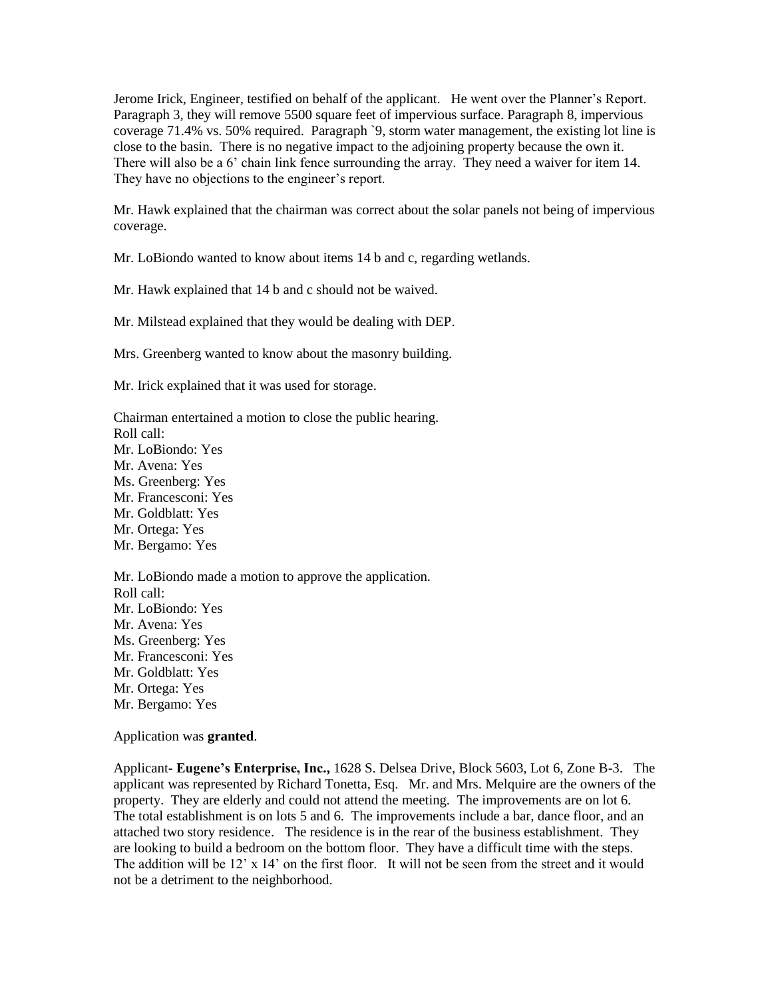Jerome Irick, Engineer, testified on behalf of the applicant. He went over the Planner's Report. Paragraph 3, they will remove 5500 square feet of impervious surface. Paragraph 8, impervious coverage 71.4% vs. 50% required. Paragraph `9, storm water management, the existing lot line is close to the basin. There is no negative impact to the adjoining property because the own it. There will also be a 6' chain link fence surrounding the array. They need a waiver for item 14. They have no objections to the engineer's report.

Mr. Hawk explained that the chairman was correct about the solar panels not being of impervious coverage.

Mr. LoBiondo wanted to know about items 14 b and c, regarding wetlands.

Mr. Hawk explained that 14 b and c should not be waived.

Mr. Milstead explained that they would be dealing with DEP.

Mrs. Greenberg wanted to know about the masonry building.

Mr. Irick explained that it was used for storage.

Chairman entertained a motion to close the public hearing. Roll call: Mr. LoBiondo: Yes Mr. Avena: Yes Ms. Greenberg: Yes Mr. Francesconi: Yes Mr. Goldblatt: Yes Mr. Ortega: Yes Mr. Bergamo: Yes Mr. LoBiondo made a motion to approve the application. Roll call: Mr. LoBiondo: Yes

Mr. Avena: Yes Ms. Greenberg: Yes Mr. Francesconi: Yes Mr. Goldblatt: Yes Mr. Ortega: Yes

Mr. Bergamo: Yes

Application was **granted**.

Applicant- **Eugene's Enterprise, Inc.,** 1628 S. Delsea Drive, Block 5603, Lot 6, Zone B-3. The applicant was represented by Richard Tonetta, Esq. Mr. and Mrs. Melquire are the owners of the property. They are elderly and could not attend the meeting. The improvements are on lot 6. The total establishment is on lots 5 and 6. The improvements include a bar, dance floor, and an attached two story residence. The residence is in the rear of the business establishment. They are looking to build a bedroom on the bottom floor. They have a difficult time with the steps. The addition will be  $12' \times 14'$  on the first floor. It will not be seen from the street and it would not be a detriment to the neighborhood.